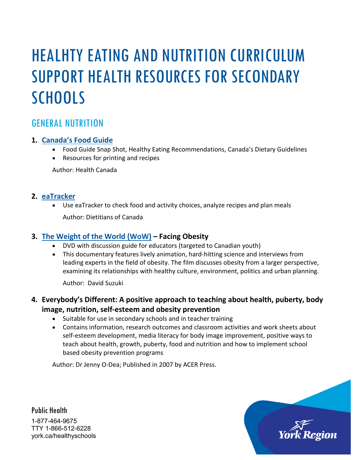# HEALHTY EATING AND NUTRITION CURRICULUM SUPPORT HEALTH RESOURCES FOR SECONDARY **SCHOOLS**

### GENERAL NUTRITION

### **1. [Canada's Food Guide](http://www.hc-sc.gc.ca/fn-an/food-guide-aliment/index-eng.php)**

- Food Guide Snap Shot, Healthy Eating Recommendations, Canada's Dietary Guidelines
- Resources for printing and recipes

Author: Health Canada

#### **2. [eaTracker](http://www.eatracker.ca/)**

• Use eaTracker to check food and activity choices, analyze recipes and plan meals Author: Dietitians of Canada

### **3. [The Weight of the World \(WoW\)](https://www.nfb.ca/film/weight_of_the_world/) – Facing Obesity**

- DVD with discussion guide for educators (targeted to Canadian youth)
- This documentary features lively animation, hard-hitting science and interviews from leading experts in the field of obesity. The film discusses obesity from a larger perspective, examining its relationships with healthy culture, environment, politics and urban planning.

Author: David Suzuki

### **4. Everybody's Different: A positive approach to teaching about health, puberty, body image, nutrition, self-esteem and obesity prevention**

- Suitable for use in secondary schools and in teacher training
- Contains information, research outcomes and classroom activities and work sheets about self-esteem development, media literacy for body image improvement, positive ways to teach about health, growth, puberty, food and nutrition and how to implement school based obesity prevention programs

Author: Dr Jenny O-Dea; Published in 2007 by ACER Press.

Public Health 1-877-464-9675 TTY 1-866-512-6228 york.ca/healthyschools

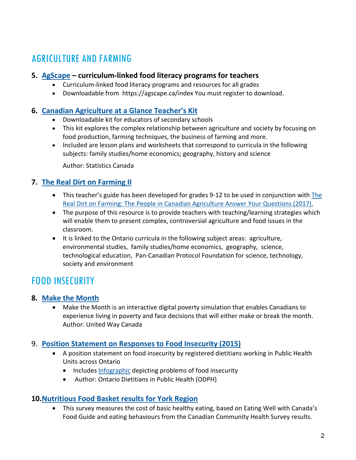# AGRICULTURE AND FARMING

### **5. [AgScape](https://agscape.ca/index) – curriculum-linked food literacy programs for teachers**

- Curriculum-linked food literacy programs and resources for all grades
- Downloadable from https://agscape.ca/index You must register to download.

### **6. [Canadian Agriculture at a Glance Teacher's Kit](http://www5.statcan.gc.ca/olc-cel/olc.action?objId=96-328-M&objType=2&lang=en&limit=0)**

- Downloadable kit for educators of secondary schools
- This kit explores the complex relationship between agriculture and society by focusing on food production, farming techniques, the business of farming and more.
- Included are lesson plans and worksheets that correspond to curricula in the following subjects: family studies/home economics; geography, history and science

Author: Statistics Canada

### **7. [The Real Dirt on Farming II](http://www.realdirtonfarming.ca/assets/docs/PDFs/2010-DIRT-TEACH-GUIDE-ENG.pdf)**

- This teacher's guide has been developed for grades 9-12 to be used in conjunction with [The](http://www.realdirtonfarming.ca/assets/docs/flipbook2014eng/)  [Real Dirt on Farming: The People in Canadian Agriculture Answer Your Questions](http://www.realdirtonfarming.ca/assets/docs/flipbook2014eng/) (2017).
- The purpose of this resource is to provide teachers with teaching/learning strategies which will enable them to present complex, controversial agriculture and food issues in the classroom.
- It is linked to the Ontario curricula in the following subject areas: agriculture, environmental studies, family studies/home economics, geography, science, technological education, Pan-Canadian Protocol Foundation for science, technology, society and environment

# FOOD INSECURITY

### **8. [Make the Month](http://makethemonth.ca/)**

• Make the Month is an interactive digital poverty simulation that enables Canadians to experience living in poverty and face decisions that will either make or break the month. Author: United Way Canada

### 9. **[Position Statement on Responses to Food Insecurity \(2015\)](https://www.osnpph.on.ca/upload/membership/document/2016-02/position-statement-2015-final.pdf#upload/membership/document/position-statement-2015-final.pdf)**

- A position statement on food insecurity by registered dietitians working in Public Health Units across Ontario
	- Includes [Infographic](https://www.osnpph.on.ca/upload/membership/document/food-insecurity-infographic-final.pdf#upload/membership/document/food-insecurity-infographic-final.pdf) depicting problems of food insecurity
	- Author: Ontario Dietitians in Public Health (ODPH)

### **10[.Nutritious Food Basket results for York Region](http://www.york.ca/wps/wcm/connect/yorkpublic/0c323f63-3371-4a14-bd6c-11214cbe8ae6/Nutritious_Food_Basket_Factsheet.pdf?MOD=AJPERES)**

• This survey measures the cost of basic healthy eating, based on Eating Well with Canada's Food Guide and eating behaviours from the Canadian Community Health Survey results.